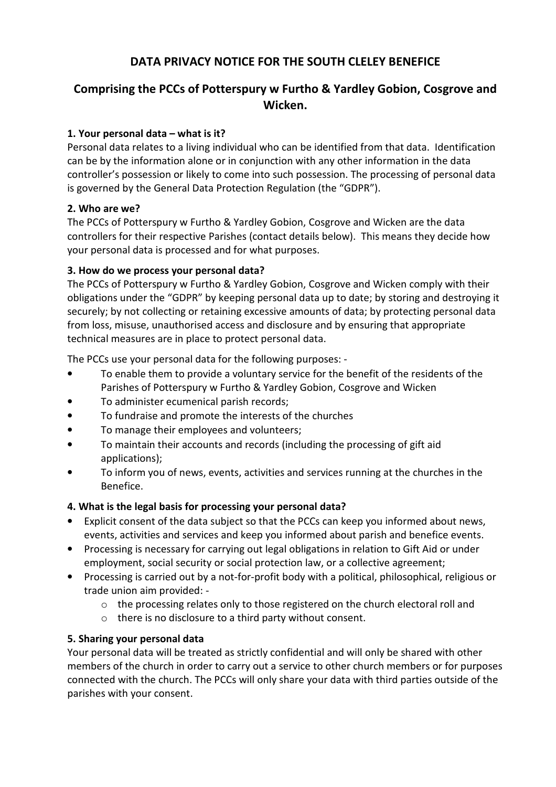# **DATA PRIVACY NOTICE FOR THE SOUTH CLELEY BENEFICE**

# **Comprising the PCCs of Potterspury w Furtho & Yardley Gobion, Cosgrove and Wicken.**

## **1. Your personal data – what is it?**

Personal data relates to a living individual who can be identified from that data. Identification can be by the information alone or in conjunction with any other information in the data controller's possession or likely to come into such possession. The processing of personal data is governed by the General Data Protection Regulation (the "GDPR").

### **2. Who are we?**

The PCCs of Potterspury w Furtho & Yardley Gobion, Cosgrove and Wicken are the data controllers for their respective Parishes (contact details below). This means they decide how your personal data is processed and for what purposes.

## **3. How do we process your personal data?**

The PCCs of Potterspury w Furtho & Yardley Gobion, Cosgrove and Wicken comply with their obligations under the "GDPR" by keeping personal data up to date; by storing and destroying it securely; by not collecting or retaining excessive amounts of data; by protecting personal data from loss, misuse, unauthorised access and disclosure and by ensuring that appropriate technical measures are in place to protect personal data.

The PCCs use your personal data for the following purposes: -

- To enable them to provide a voluntary service for the benefit of the residents of the Parishes of Potterspury w Furtho & Yardley Gobion, Cosgrove and Wicken
- To administer ecumenical parish records;
- To fundraise and promote the interests of the churches
- To manage their employees and volunteers;
- To maintain their accounts and records (including the processing of gift aid applications);
- To inform you of news, events, activities and services running at the churches in the Benefice.

# **4. What is the legal basis for processing your personal data?**

- Explicit consent of the data subject so that the PCCs can keep you informed about news, events, activities and services and keep you informed about parish and benefice events.
- Processing is necessary for carrying out legal obligations in relation to Gift Aid or under employment, social security or social protection law, or a collective agreement;
- Processing is carried out by a not-for-profit body with a political, philosophical, religious or trade union aim provided:
	- o the processing relates only to those registered on the church electoral roll and
	- o there is no disclosure to a third party without consent.

# **5. Sharing your personal data**

Your personal data will be treated as strictly confidential and will only be shared with other members of the church in order to carry out a service to other church members or for purposes connected with the church. The PCCs will only share your data with third parties outside of the parishes with your consent.